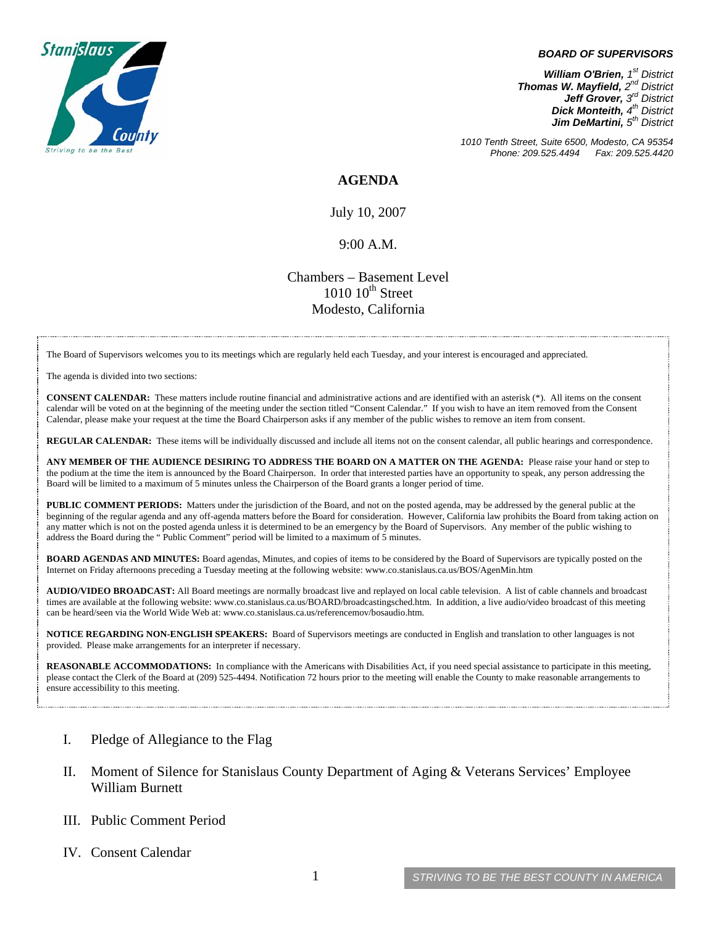

## *BOARD OF SUPERVISORS*

*William O'Brien, 1st District Thomas W. Mayfield, 2nd District Jeff Grover, 3rd District Dick Monteith, 4th District Jim DeMartini, 5th District*

*1010 Tenth Street, Suite 6500, Modesto, CA 95354 Phone: 209.525.4494 Fax: 209.525.4420* 

**AGENDA** 

July 10, 2007

## 9:00 A.M.

Chambers – Basement Level  $1010$   $10^{th}$  Street Modesto, California

The Board of Supervisors welcomes you to its meetings which are regularly held each Tuesday, and your interest is encouraged and appreciated.

The agenda is divided into two sections:

**CONSENT CALENDAR:** These matters include routine financial and administrative actions and are identified with an asterisk (\*). All items on the consent calendar will be voted on at the beginning of the meeting under the section titled "Consent Calendar." If you wish to have an item removed from the Consent Calendar, please make your request at the time the Board Chairperson asks if any member of the public wishes to remove an item from consent.

**REGULAR CALENDAR:** These items will be individually discussed and include all items not on the consent calendar, all public hearings and correspondence.

**ANY MEMBER OF THE AUDIENCE DESIRING TO ADDRESS THE BOARD ON A MATTER ON THE AGENDA:** Please raise your hand or step to the podium at the time the item is announced by the Board Chairperson. In order that interested parties have an opportunity to speak, any person addressing the Board will be limited to a maximum of 5 minutes unless the Chairperson of the Board grants a longer period of time.

**PUBLIC COMMENT PERIODS:** Matters under the jurisdiction of the Board, and not on the posted agenda, may be addressed by the general public at the beginning of the regular agenda and any off-agenda matters before the Board for consideration. However, California law prohibits the Board from taking action on any matter which is not on the posted agenda unless it is determined to be an emergency by the Board of Supervisors. Any member of the public wishing to address the Board during the " Public Comment" period will be limited to a maximum of 5 minutes.

**BOARD AGENDAS AND MINUTES:** Board agendas, Minutes, and copies of items to be considered by the Board of Supervisors are typically posted on the Internet on Friday afternoons preceding a Tuesday meeting at the following website: [www.co.stanislaus.ca.us/BOS/AgenMin.htm](http://www.co.stanislaus.ca.us/BOS/AgenMin.htm) 

**AUDIO/VIDEO BROADCAST:** All Board meetings are normally broadcast live and replayed on local cable television. A list of cable channels and broadcast times are available at the following website: [www.co.stanislaus.ca.us/BOARD/broadcastingsched.htm](http://www.co.stanislaus.ca.us/BOARD/broadcastingsched.htm). In addition, a live audio/video broadcast of this meeting can be heard/seen via the World Wide Web at: [www.co.stanislaus.ca.us/referencemov/bosaudio.htm.](http://www.co.stanislaus.ca.us/referencemov/bosaudio.htm)

**NOTICE REGARDING NON-ENGLISH SPEAKERS:** Board of Supervisors meetings are conducted in English and translation to other languages is not provided. Please make arrangements for an interpreter if necessary.

**REASONABLE ACCOMMODATIONS:** In compliance with the Americans with Disabilities Act, if you need special assistance to participate in this meeting, please contact the Clerk of the Board at (209) 525-4494. Notification 72 hours prior to the meeting will enable the County to make reasonable arrangements to ensure accessibility to this meeting.

- I. Pledge of Allegiance to the Flag
- II. Moment of Silence for Stanislaus County Department of Aging & Veterans Services' Employee William Burnett
- III. Public Comment Period
- IV. Consent Calendar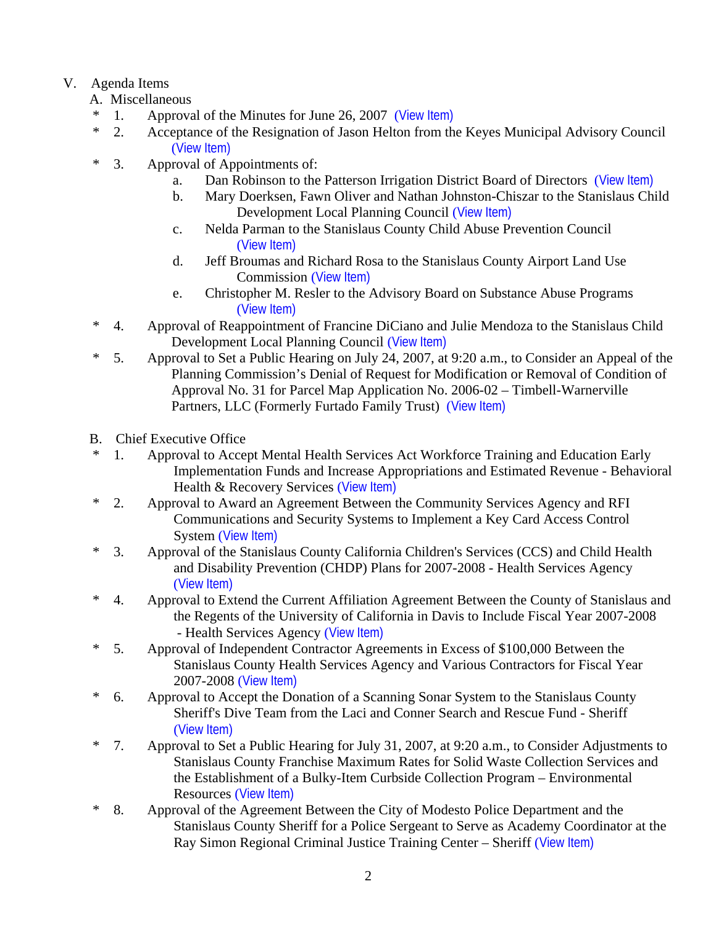## V. Agenda Items

- A. Miscellaneous
- \* 1. Approval of the Minutes for June 26, 2007 ([View Item\)](http://www.co.stanislaus.ca.us/bos/minutes/2007/min06-26-07.pdf)
- \* 2. Acceptance of the Resignation of Jason Helton from the Keyes Municipal Advisory Council ([View Item\)](http://www.co.stanislaus.ca.us/bos/agenda/2007/20070710/A02.pdf)
- \* 3. Approval of Appointments of:
	- a. Dan Robinson to the Patterson Irrigation District Board of Directors ([View Item\)](http://www.co.stanislaus.ca.us/bos/agenda/2007/20070710/A03a.pdf)
	- b. Mary Doerksen, Fawn Oliver and Nathan Johnston-Chiszar to the Stanislaus Child Development Local Planning Council ([View Item\)](http://www.co.stanislaus.ca.us/bos/agenda/2007/20070710/A03b.pdf)
	- c. Nelda Parman to the Stanislaus County Child Abuse Prevention Council ([View Item\)](http://www.co.stanislaus.ca.us/bos/agenda/2007/20070710/A03c.pdf)
	- d. Jeff Broumas and Richard Rosa to the Stanislaus County Airport Land Use Commission ([View Item\)](http://www.co.stanislaus.ca.us/bos/agenda/2007/20070710/A03d.pdf)
	- e. Christopher M. Resler to the Advisory Board on Substance Abuse Programs ([View Item\)](http://www.co.stanislaus.ca.us/bos/agenda/2007/20070710/A03e.pdf)
- \* 4. Approval of Reappointment of Francine DiCiano and Julie Mendoza to the Stanislaus Child Development Local Planning Council ([View Item\)](http://www.co.stanislaus.ca.us/bos/agenda/2007/20070710/A04.pdf)
- \* 5. Approval to Set a Public Hearing on July 24, 2007, at 9:20 a.m., to Consider an Appeal of the Planning Commission's Denial of Request for Modification or Removal of Condition of Approval No. 31 for Parcel Map Application No. 2006-02 – Timbell-Warnerville Partners, LLC (Formerly Furtado Family Trust) ([View Item\)](http://www.co.stanislaus.ca.us/bos/agenda/2007/20070710/A05.pdf)
- B. Chief Executive Office
- \* 1. Approval to Accept Mental Health Services Act Workforce Training and Education Early Implementation Funds and Increase Appropriations and Estimated Revenue - Behavioral Health & Recovery Services ([View Item\)](http://www.co.stanislaus.ca.us/bos/agenda/2007/20070710/B01.pdf)
- \* 2. Approval to Award an Agreement Between the Community Services Agency and RFI Communications and Security Systems to Implement a Key Card Access Control System ([View Item\)](http://www.co.stanislaus.ca.us/bos/agenda/2007/20070710/B02.pdf)
- \* 3. Approval of the Stanislaus County California Children's Services (CCS) and Child Health and Disability Prevention (CHDP) Plans for 2007-2008 - Health Services Agency ([View Item\)](http://www.co.stanislaus.ca.us/bos/agenda/2007/20070710/B03.pdf)
- \* 4. Approval to Extend the Current Affiliation Agreement Between the County of Stanislaus and the Regents of the University of California in Davis to Include Fiscal Year 2007-2008 - Health Services Agency ([View Item\)](http://www.co.stanislaus.ca.us/bos/agenda/2007/20070710/B04.pdf)
- \* 5. Approval of Independent Contractor Agreements in Excess of \$100,000 Between the Stanislaus County Health Services Agency and Various Contractors for Fiscal Year 2007-2008 ([View Item\)](http://www.co.stanislaus.ca.us/bos/agenda/2007/20070710/B05.pdf)
- \* 6. Approval to Accept the Donation of a Scanning Sonar System to the Stanislaus County Sheriff's Dive Team from the Laci and Conner Search and Rescue Fund - Sheriff ([View Item\)](http://www.co.stanislaus.ca.us/bos/agenda/2007/20070710/B06.pdf)
- \* 7. Approval to Set a Public Hearing for July 31, 2007, at 9:20 a.m., to Consider Adjustments to Stanislaus County Franchise Maximum Rates for Solid Waste Collection Services and the Establishment of a Bulky-Item Curbside Collection Program – Environmental Resources ([View Item\)](http://www.co.stanislaus.ca.us/bos/agenda/2007/20070710/B07.pdf)
- \* 8. Approval of the Agreement Between the City of Modesto Police Department and the Stanislaus County Sheriff for a Police Sergeant to Serve as Academy Coordinator at the Ray Simon Regional Criminal Justice Training Center – Sheriff ([View Item\)](http://www.co.stanislaus.ca.us/bos/agenda/2007/20070710/B08.pdf)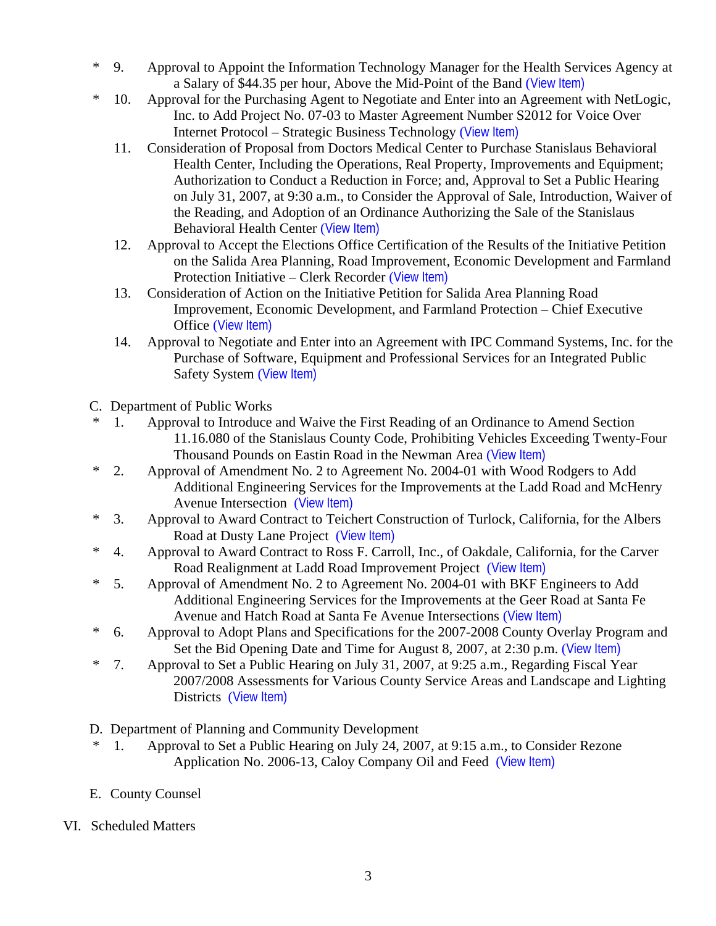- \* 9. Approval to Appoint the Information Technology Manager for the Health Services Agency at a Salary of \$44.35 per hour, Above the Mid-Point of the Band ([View Item\)](http://www.co.stanislaus.ca.us/bos/agenda/2007/20070710/B09.pdf)
- \* 10. Approval for the Purchasing Agent to Negotiate and Enter into an Agreement with NetLogic, Inc. to Add Project No. 07-03 to Master Agreement Number S2012 for Voice Over Internet Protocol – Strategic Business Technology ([View Item\)](http://www.co.stanislaus.ca.us/bos/agenda/2007/20070710/B10.pdf)
	- 11. Consideration of Proposal from Doctors Medical Center to Purchase Stanislaus Behavioral Health Center, Including the Operations, Real Property, Improvements and Equipment; Authorization to Conduct a Reduction in Force; and, Approval to Set a Public Hearing on July 31, 2007, at 9:30 a.m., to Consider the Approval of Sale, Introduction, Waiver of the Reading, and Adoption of an Ordinance Authorizing the Sale of the Stanislaus Behavioral Health Center ([View Item\)](http://www.co.stanislaus.ca.us/bos/agenda/2007/20070710/B11.pdf)
	- 12. Approval to Accept the Elections Office Certification of the Results of the Initiative Petition on the Salida Area Planning, Road Improvement, Economic Development and Farmland Protection Initiative – Clerk Recorder ([View Item\)](http://www.co.stanislaus.ca.us/bos/agenda/2007/20070710/B12.pdf)
	- 13. Consideration of Action on the Initiative Petition for Salida Area Planning Road Improvement, Economic Development, and Farmland Protection – Chief Executive Office ([View Item\)](http://www.co.stanislaus.ca.us/bos/agenda/2007/20070710/B13.pdf)
	- 14. Approval to Negotiate and Enter into an Agreement with IPC Command Systems, Inc. for the Purchase of Software, Equipment and Professional Services for an Integrated Public Safety System ([View Item\)](http://www.co.stanislaus.ca.us/bos/agenda/2007/20070710/B14.pdf)
- C. Department of Public Works
- \* 1. Approval to Introduce and Waive the First Reading of an Ordinance to Amend Section 11.16.080 of the Stanislaus County Code, Prohibiting Vehicles Exceeding Twenty-Four Thousand Pounds on Eastin Road in the Newman Area ([View Item\)](http://www.co.stanislaus.ca.us/bos/agenda/2007/20070710/C01.pdf)
- \* 2. Approval of Amendment No. 2 to Agreement No. 2004-01 with Wood Rodgers to Add Additional Engineering Services for the Improvements at the Ladd Road and McHenry Avenue Intersection ([View Item\)](http://www.co.stanislaus.ca.us/bos/agenda/2007/20070710/C02.pdf)
- \* 3. Approval to Award Contract to Teichert Construction of Turlock, California, for the Albers Road at Dusty Lane Project ([View Item\)](http://www.co.stanislaus.ca.us/bos/agenda/2007/20070710/C03.pdf)
- \* 4. Approval to Award Contract to Ross F. Carroll, Inc., of Oakdale, California, for the Carver Road Realignment at Ladd Road Improvement Project ([View Item\)](http://www.co.stanislaus.ca.us/bos/agenda/2007/20070710/C04.pdf)
- \* 5. Approval of Amendment No. 2 to Agreement No. 2004-01 with BKF Engineers to Add Additional Engineering Services for the Improvements at the Geer Road at Santa Fe Avenue and Hatch Road at Santa Fe Avenue Intersections ([View Item\)](http://www.co.stanislaus.ca.us/bos/agenda/2007/20070710/C05.pdf)
- \* 6. Approval to Adopt Plans and Specifications for the 2007-2008 County Overlay Program and Set the Bid Opening Date and Time for August 8, 2007, at 2:30 p.m. ([View Item\)](http://www.co.stanislaus.ca.us/bos/agenda/2007/20070710/C06.pdf)
- \* 7. Approval to Set a Public Hearing on July 31, 2007, at 9:25 a.m., Regarding Fiscal Year 2007/2008 Assessments for Various County Service Areas and Landscape and Lighting Districts ([View Item\)](http://www.co.stanislaus.ca.us/bos/agenda/2007/20070710/C07.pdf)
- D. Department of Planning and Community Development
- \* 1. Approval to Set a Public Hearing on July 24, 2007, at 9:15 a.m., to Consider Rezone Application No. 2006-13, Caloy Company Oil and Feed ([View Item\)](http://www.co.stanislaus.ca.us/bos/agenda/2007/20070710/D01.pdf)
- E. County Counsel
- VI. Scheduled Matters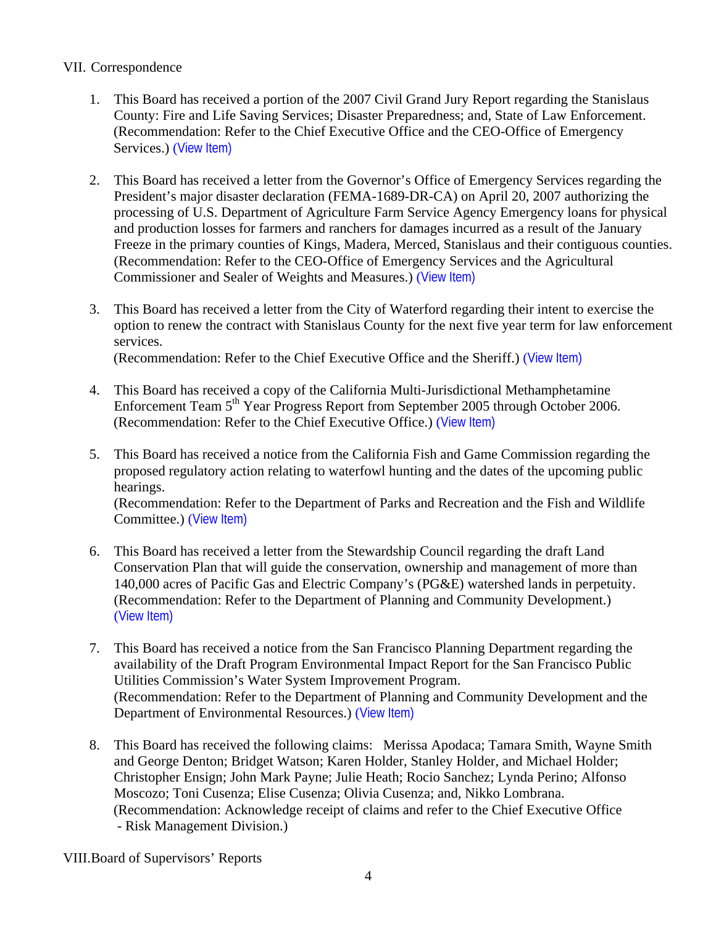## VII. Correspondence

- 1. This Board has received a portion of the 2007 Civil Grand Jury Report regarding the Stanislaus County: Fire and Life Saving Services; Disaster Preparedness; and, State of Law Enforcement. (Recommendation: Refer to the Chief Executive Office and the CEO-Office of Emergency Services.) ([View Item\)](http://www.co.stanislaus.ca.us/bos/agenda/2007/20070710/Corr01.pdf)
- 2. This Board has received a letter from the Governor's Office of Emergency Services regarding the President's major disaster declaration (FEMA-1689-DR-CA) on April 20, 2007 authorizing the processing of U.S. Department of Agriculture Farm Service Agency Emergency loans for physical and production losses for farmers and ranchers for damages incurred as a result of the January Freeze in the primary counties of Kings, Madera, Merced, Stanislaus and their contiguous counties. (Recommendation: Refer to the CEO-Office of Emergency Services and the Agricultural Commissioner and Sealer of Weights and Measures.) ([View Item\)](http://www.co.stanislaus.ca.us/bos/agenda/2007/20070710/Corr02.pdf)
- 3. This Board has received a letter from the City of Waterford regarding their intent to exercise the option to renew the contract with Stanislaus County for the next five year term for law enforcement services. (Recommendation: Refer to the Chief Executive Office and the Sheriff.) ([View Item\)](http://www.co.stanislaus.ca.us/bos/agenda/2007/20070710/Corr03.pdf)
- 4. This Board has received a copy of the California Multi-Jurisdictional Methamphetamine Enforcement Team 5<sup>th</sup> Year Progress Report from September 2005 through October 2006. (Recommendation: Refer to the Chief Executive Office.) ([View Item\)](http://www.co.stanislaus.ca.us/bos/agenda/2007/20070710/Corr04.pdf)
- 5. This Board has received a notice from the California Fish and Game Commission regarding the proposed regulatory action relating to waterfowl hunting and the dates of the upcoming public hearings.

(Recommendation: Refer to the Department of Parks and Recreation and the Fish and Wildlife Committee.) ([View Item\)](http://www.co.stanislaus.ca.us/bos/agenda/2007/20070710/Corr05.pdf)

- 6. This Board has received a letter from the Stewardship Council regarding the draft Land Conservation Plan that will guide the conservation, ownership and management of more than 140,000 acres of Pacific Gas and Electric Company's (PG&E) watershed lands in perpetuity. (Recommendation: Refer to the Department of Planning and Community Development.) ([View Item\)](http://www.co.stanislaus.ca.us/bos/agenda/2007/20070710/Corr06.pdf)
- 7. This Board has received a notice from the San Francisco Planning Department regarding the availability of the Draft Program Environmental Impact Report for the San Francisco Public Utilities Commission's Water System Improvement Program. (Recommendation: Refer to the Department of Planning and Community Development and the Department of Environmental Resources.) ([View Item\)](http://www.co.stanislaus.ca.us/bos/agenda/2007/20070710/Corr07.pdf)
- 8. This Board has received the following claims: Merissa Apodaca; Tamara Smith, Wayne Smith and George Denton; Bridget Watson; Karen Holder, Stanley Holder, and Michael Holder; Christopher Ensign; John Mark Payne; Julie Heath; Rocio Sanchez; Lynda Perino; Alfonso Moscozo; Toni Cusenza; Elise Cusenza; Olivia Cusenza; and, Nikko Lombrana. (Recommendation: Acknowledge receipt of claims and refer to the Chief Executive Office - Risk Management Division.)

VIII.Board of Supervisors' Reports